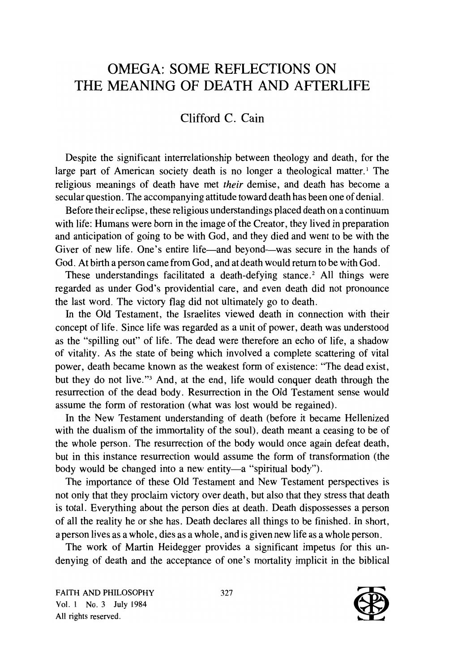## OMEGA: SOME REFLECTIONS ON THE MEANING OF DEATH AND AFTERLIFE

## Clifford C. Cain

Despite the significant interrelationship between theology and death, for the large part of American society death is no longer a theological matter.<sup>1</sup> The religious meanings of death have met *their* demise, and death has become a secular question. The accompanying attitude toward death has been one of denial.

Before their eclipse, these religious understandings placed death on a continuum with life: Humans were born in the image of the Creator, they lived in preparation and anticipation of going to be with God, and they died and went to be with the Giver of new life. One's entire life—and beyond—was secure in the hands of God. At birth a person came from God, and at death would return to be with God.

These understandings facilitated a death-defying stance.<sup>2</sup> All things were regarded as under God's providential care, and even death did not pronounce the last word. The victory flag did not ultimately go to death.

In the Old Testament, the Israelites viewed death in connection with their concept of life. Since life was regarded as a unit of power, death was understood as the "spilling out" of life. The dead were therefore an echo of life, a shadow of vitality. As the state of being which involved a complete scattering of vital power, death became known as the weakest form of existence: "The dead exist, but they do not live."3 And, at the end, life would conquer death through the resurrection of the dead body. Resurrection in the Old Testament sense would assume the form of restoration (what was lost would be regained).

In the New Testament understanding of death (before it became Hellenized with the dualism of the immortality of the soul), death meant a ceasing to be of the whole person. The resurrection of the body would once again defeat death, but in this instance resurrection would assume the form of transformation (the body would be changed into a new entity—a "spiritual body").

The importance of these Old Testament and New Testament perspectives is not only that they proclaim victory over death, but also that they stress that death is total. Everything about the person dies at death. Death dispossesses a person of all the reality he or she has. Death declares all things to be finished. In short, a person lives as a whole, dies as a whole, and is given new life as a whole person.

The work of Martin Heidegger provides a significant impetus for this undenying of death and the acceptance of one's mortality implicit in the biblical

FAITH AND PHILOSOPHY Vol. 1 No.3 July 1984 All rights reserved.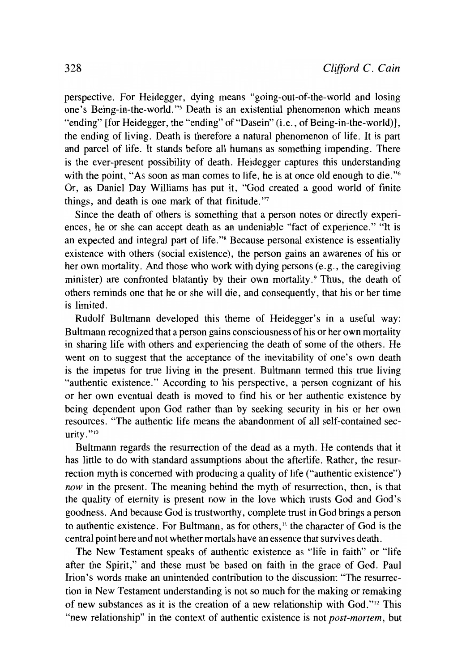perspective. For Heidegger, dying means "going-out-of-the-world and losing one's Being-in-the-world."5 Death is an existential phenomenon which means "ending" [for Heidegger, the "ending" of "Dasein" (i.e., of Being-in-the-world)], the ending of living. Death is therefore a natural phenomenon of life. It is part and parcel of life. It stands before all humans as something impending. There is the ever-present possibility of death. Heidegger captures this understanding with the point, "As soon as man comes to life, he is at once old enough to die."<sup>6</sup> Or, as Daniel Day Williams has put it, "God created a good world of finite things, and death is one mark of that finitude."7

Since the death of others is something that a person notes or directly experiences, he or she can accept death as an undeniable "fact of experience." "It is an expected and integral part of life."8 Because personal existence is essentially existence with others (social existence), the person gains an awarenes of his or her own mortality. And those who work with dying persons (e.g., the caregiving minister) are confronted blatantly by their own mortality.9 Thus, the death of others reminds one that he or she will die, and consequently, that his or her time is limited.

Rudolf Bultmann developed this theme of Heidegger's in a useful way: Bultmann recognized that a person gains consciousness of his or her own mortality in sharing life with others and experiencing the death of some of the others. He went on to suggest that the acceptance of the inevitability of one's own death is the impetus for true living in the present. Bultmann termed this true living "authentic existence." According to his perspective, a person cognizant of his or her own eventual death is moved to find his or her authentic existence by being dependent upon God rather than by seeking security in his or her own resources. "The authentic life means the abandonment of all self-contained security."<sup>10</sup>

Bultmann regards the resurrection of the dead as a myth. He contends that it has little to do with standard assumptions about the afterlife. Rather, the resurrection myth is concerned with producing a quality of life ("authentic existence") *now* in the present. The meaning behind the myth of resurrection, then, is that the quality of eternity is present now in the love which trusts God and God's goodness. And because God is trustworthy, complete trust in God brings a person to authentic existence. For Bultmann, as for others,<sup>11</sup> the character of God is the central point here and not whether mortals have an essence that survives death.

The New Testament speaks of authentic existence as "life in faith" or "life after the Spirit," and these must be based on faith in the grace of God. Paul Irion's words make an unintended contribution to the discussion: "The resurrection in New Testament understanding is not so much for the making or remaking of new substances as it is the creation of a new relationship with God."12 This "new relationship" in the context of authentic existence is not *post-mortem,* but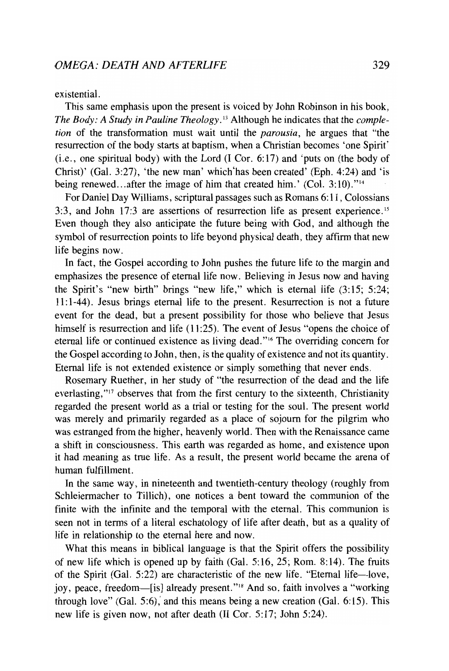existential.

This same emphasis upon the present is voiced by John Robinson in his book, *The Body: A Study in Pauline Theology.* 13 Although he indicates that the *completion* of the transformation must wait until the *parousia,* he argues that "the resurrection of the body starts at baptism, when a Christian becomes 'one Spirit' (i.e., one spiritual body) with the Lord (I Cor. 6:17) and 'puts on (the body of Christ)' (Gal. 3:27), 'the new man' which'has been created' (Eph. 4:24) and 'is being renewed... after the image of him that created him.' (Col. 3:10)."<sup>14</sup>

For Daniel Day Williams, scriptural passages such as Romans 6: 11, Colossians 3:3, and John 17:3 are assertions of resurrection life as present experience.<sup>15</sup> Even though they also anticipate the future being with God, and although the symbol of resurrection points to life beyond physical death, they affirm that new life begins now.

In fact, the Gospel according to John pushes the future life to the margin and emphasizes the presence of eternal life now. Believing in Jesus now and having the Spirit's "new birth" brings "new life," which is eternal life (3:15; 5:24; 11: 1-44). Jesus brings eternal life to the present. Resurrection is not a future event for the dead, but a present possibility for those who believe that Jesus himself is resurrection and life  $(11:25)$ . The event of Jesus "opens the choice of eternal life or continued existence as living dead. "16 The overriding concern for the Gospel according to John, then, is the quality of existence and not its quantity. Eternal life is not extended existence or simply something that never ends.

Rosemary Ruether, in her study of "the resurrection of the dead and the life everlasting, "17 observes that from the first century to the sixteenth, Christianity regarded the present world as a trial or testing for the soul. The present world was merely and primarily regarded as a place of sojourn for the pilgrim who was estranged from the higher, heavenly world. Then with the Renaissance came a shift in consciousness. This earth was regarded as home, and existence upon it had meaning as true life. As a result, the present world became the arena of human fulfillment.

In the same way, in nineteenth and twentieth-century theology (roughly from Schleiermacher to Tillich), one notices a bent toward the communion of the finite with the infinite and the temporal with the eternal. This communion is seen not in terms of a literal eschatology of life after death, but as a quality of life in relationship to the eternal here and now.

What this means in biblical language is that the Spirit offers the possibility of new life which is opened up by faith (Gal. 5:16,25; Rom. 8:14). The fruits of the Spirit (Gal. 5:22) are characteristic of the new life. "Eternal life-love, joy, peace, freedom--[is] already present."<sup>18</sup> And so, faith involves a "working through love" (Gal. 5:6), and this means being a new creation (Gal. 6:15). This new life is given now, not after death (II Cor. 5:17; John 5:24).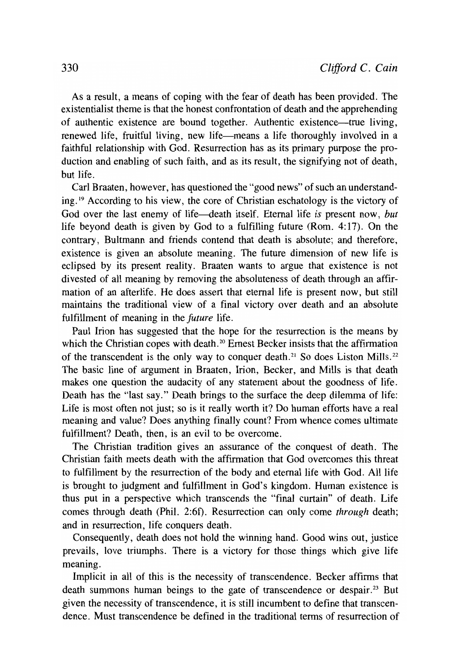As a result, a means of coping with the fear of death has been provided. The existentialist theme is that the honest confrontation of death and the apprehending of authentic existence are bound together. Authentic existence-true living, renewed life, fruitful living, new life—means a life thoroughly involved in a faithful relationship with God. Resurrection has as its primary purpose the production and enabling of such faith, and as its result, the signifying not of death, but life.

Carl Braaten, however, has questioned the "good news" of such an understanding. 19 According to his view, the core of Christian eschatology is the victory of God over the last enemy of life-death itself. Eternal life *is* present now, *but*  life beyond death is given by God to a fulfilling future (Rom. 4:17). On the contrary, Bultmann and friends contend that death is absolute; and therefore, existence is given an absolute meaning. The future dimension of new life is eclipsed by its present reality. Braaten wants to argue that existence is not divested of all meaning by removing the absoluteness of death through an affirmation of an afterlife. He does assert that eternal life is present now, but still maintains the traditional view of a final victory over death and an absolute fulfillment of meaning in the *future* life.

Paul Irion has suggested that the hope for the resurrection is the means by which the Christian copes with death.<sup>20</sup> Ernest Becker insists that the affirmation of the transcendent is the only way to conquer death.<sup>21</sup> So does Liston Mills.<sup>22</sup> The basic line of argument in Braaten, Irion, Becker, and Mills is that death makes one question the audacity of any statement about the goodness of life. Death has the "last say." Death brings to the surface the deep dilemma of life: Life is most often not just; so is it really worth it? Do human efforts have a real meaning and value? Does anything finally count? From whence comes ultimate fulfillment? Death, then, is an evil to be overcome.

The Christian tradition gives an assurance of the conquest of death. The Christian faith meets death with the affirmation that God overcomes this threat to fulfillment by the resurrection of the body and eternal life with God. All life is brought to judgment and fulfillment in God's kingdom. Human existence is thus put in a perspective which transcends the "final curtain" of death. Life comes through death (Phil. 2:6f). Resurrection can only come *through* death; and in resurrection, life conquers death.

Consequently, death does not hold the winning hand. Good wins out, justice prevails, love triumphs. There is a victory for those things which give life meaning.

Implicit in all of this is the necessity of transcendence. Becker affirms that death summons human beings to the gate of transcendence or despair.<sup>23</sup> But given the necessity of transcendence, it is still incumbent to define that transcendence. Must transcendence be defined in the traditional terms of resurrection of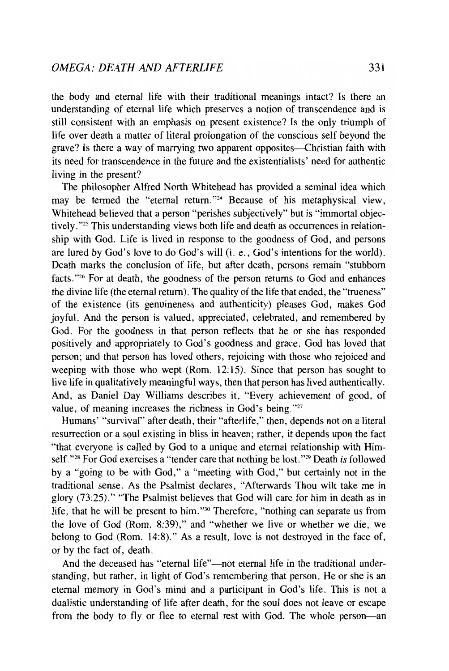the body and eternal life with their traditional meanings intact? Is there an understanding of eternal life which preserves a notion of transcendence and is still consistent with an emphasis on present existence? Is the only triumph of life over death a matter of literal prolongation of the conscious self beyond the grave? Is there a way of marrying two apparent opposites-Christian faith with its need for transcendence in the future and the existentialists' need for authentic living in the present?

The philosopher Alfred North Whitehead has provided a seminal idea which may be termed the "eternal return."<sup>24</sup> Because of his metaphysical view, Whitehead believed that a person "perishes subjectively" but is "immortal objectively. "25 This understanding views both life and death as occurrences in relationship with God. Life is lived in response to the goodness of God, and persons are lured by God's love to do God's will (i. e., God's intentions for the world). Death marks the conclusion of life, but after death, persons remain "stubborn facts. "26 For at death, the goodness of the person returns to God and enhances the divine life (the eternal return). The quality of the life that ended, the "trueness" of the existence (its genuineness and authenticity) pleases God, makes God joyful. And the person is valued, appreciated, celebrated, and remembered by God. For the goodness in that person reflects that he or she has responded positively and appropriately to God's goodness and grace. God has loved that person; and that person has loved others, rejoicing with those who rejoiced and weeping with those who wept (Rom. 12:15). Since that person has sought to live life in qualitatively meaningful ways, then that person has lived authentically. And, as Daniel Day Williams describes it, "Every achievement of good, of value, of meaning increases the richness in God's being. "27

Humans' "survival" after death, their "afterlife," then, depends not on a literal resurrection or a soul existing in bliss in heaven; rather, it depends upon the fact "that everyone is called by God to a unique and eternal relationship with Himself."<sup>28</sup> For God exercises a "tender care that nothing be lost."<sup>29</sup> Death is followed by a "going to be with God," a "meeting with God," but certainly not in the traditional sense. As the Psalmist declares, "Afterwards Thou wilt take me in glory (73:25)." "The Psalmist believes that God will care for him in death as in life, that he will be present to him. "30 Therefore, "nothing can separate us from the love of God (Rom. 8:39)," and "whether we live or whether we die, we belong to God (Rom. 14:8)." As a result, love is not destroyed in the face of, or by the fact of, death.

And the deceased has "eternal life"-not eternal life in the traditional understanding, but rather, in light of God's remembering that person. He or she is an eternal memory in God's mind and a participant in God's life. This is not a dualistic understanding of life after death, for the soul does not leave or escape from the body to fly or flee to eternal rest with God. The whole person-an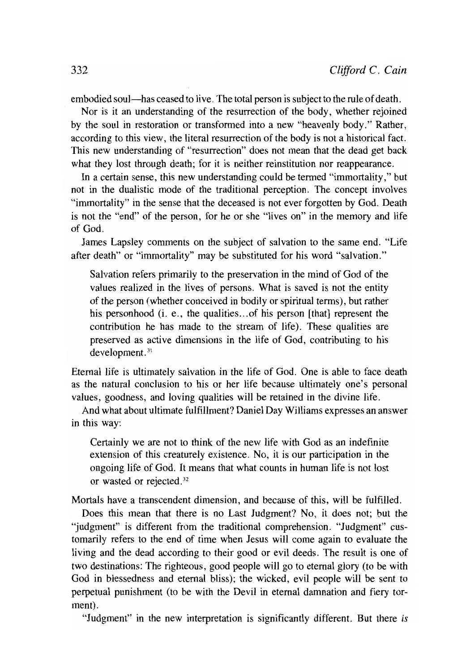embodied soul-has ceased to live. The total person is subject to the rule of death.

Nor is it an understanding of the resurrection of the body, whether rejoined by the soul in restoration or transformed into a new "heavenly body." Rather, according to this view, the literal resurrection of the body is not a historical fact. This new understanding of "resurrection" does not mean that the dead get back what they lost through death; for it is neither reinstitution nor reappearance.

In a certain sense, this new understanding could be termed "immortality," but not in the dualistic mode of the traditional perception. The concept involves "immortality" in the sense that the deceased is not ever forgotten by God. Death is not the "end" of the person, for he or she "lives on" in the memory and life of God.

James Lapsley comments on the subject of salvation to the same end. "Life after death" or "immortality" may be substituted for his word "salvation."

Salvation refers primarily to the preservation in the mind of God of the values realized in the lives of persons. What is saved is not the entity of the person (whether conceived in bodily or spiritual terms), but rather his personhood (i. e., the qualities... of his person [that] represent the contribution he has made to the stream of life). These qualities are preserved as active dimensions in the life of God, contributing to his development.<sup>31</sup>

Eternal life is ultimately salvation in the life of God. One is able to face death as the natural conclusion to his or her life because ultimately one's personal values, goodness, and loving qualities will be retained in the divine life.

And what about ultimate fulfillment? Daniel Day Williams expresses an answer in this way:

Certainly we are not to think of the new life with God as an indefinite extension of this creaturely existence. No, it is our participation in the ongoing life of God. It means that what counts in human life is not lost or wasted or rejected. 32

Mortals have a transcendent dimension, and because of this, will be fulfilled.

Does this mean that there is no Last Judgment? No, it does not; but the "judgment" is different from the traditional comprehension. "Judgment" customarily refers to the end of time when Jesus will come again to evaluate the living and the dead according to their good or evil deeds. The result is one of two destinations: The righteous, good people will go to eternal glory (to be with God in blessedness and eternal bliss); the wicked, evil people will be sent to perpetual punishment (to be with the Devil in eternal damnation and fiery torment).

"Judgment" in the new interpretation is significantly different. But there *is*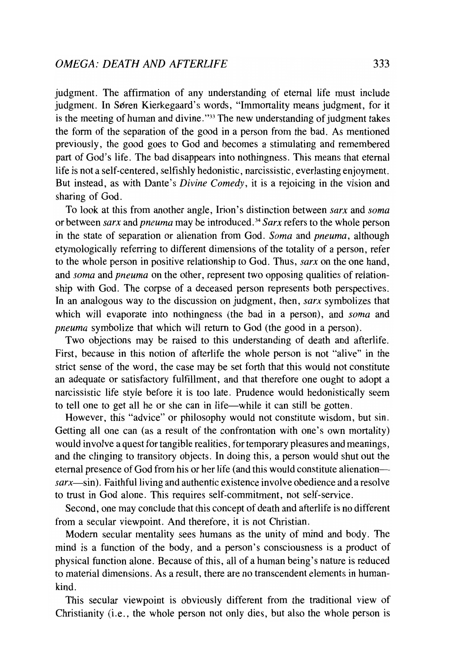## *OMEGA: DEATH AND AFTERLIFE* 333

judgment. The affinnation of any understanding of eternal life must include judgment. In Søren Kierkegaard's words, "Immortality means judgment, for it is the meeting of human and divine. "33 The new understanding of judgment takes the fonn of the separation of the good in a person from the bad. As mentioned previously, the good goes to God and becomes a stimulating and remembered part of God's life. The bad disappears into nothingness. This means that eternal life is not a self-centered, selfishly hedonistic, narcissistic, everlasting enjoyment. But instead, as with Dante's *Divine Comedy,* it is a rejoicing in the vision and sharing of God.

To look at this from another angle, Irion's distinction between *sarx* and *soma*  or between *sarx* and *pneuma* may be introduced. <sup>34</sup>*Sarx* refers to the whole person in the state of separation or alienation from God. *Soma* and *pneuma,* although etymologically referring to different dimensions of the totality of a person, refer to the whole person in positive relationship to God. Thus, *sarx* on the one hand, and *soma* and *pneuma* on the other, represent two opposing qualities of relationship with God. The corpse of a deceased person represents both perspectives. In an analogous way to the discussion on judgment, then, *sarx* symbolizes that which will evaporate into nothingness (the bad in a person), and *soma* and *pneuma* symbolize that which will return to God (the good in a person).

Two objections may be raised to this understanding of death and afterlife. First, because in this notion of afterlife the whole person is not "alive" in the strict sense of the word, the case may be set forth that this would not constitute an adequate or satisfactory fulfillment, and that therefore one ought to adopt a narcissistic life style before it is too late. Prudence would hedonistically seem to tell one to get all he or she can in life-while it can still be gotten.

However, this "advice" or philosophy would not constitute wisdom, but sin. Getting all one can (as a result of the confrontation with one's own mortality) would involve a quest for tangible realities, for temporary pleasures and meanings, and the clinging to transitory objects. **In** doing this, a person would shut out the eternal presence of God from his or her life (and this would constitute alienation*sarx-sin).* Faithful living and authentic existence involve obedience and a resolve to trust in God alone. This requires self-commitment, not self-service.

Second, one may conclude that this concept of death and afterlife is no different from a secular viewpoint. And therefore, it is not Christian.

Modem secular mentality sees humans as the unity of mind and body. The mind is a function of the body, and a person's consciousness is a product of physical function alone. Because of this, all of a human being's nature is reduced to material dimensions. As a result, there are no transcendent elements in humankind.

This secular viewpoint is obviously different from the traditional view of Christianity (i.e., the whole person not only dies, but also the whole person is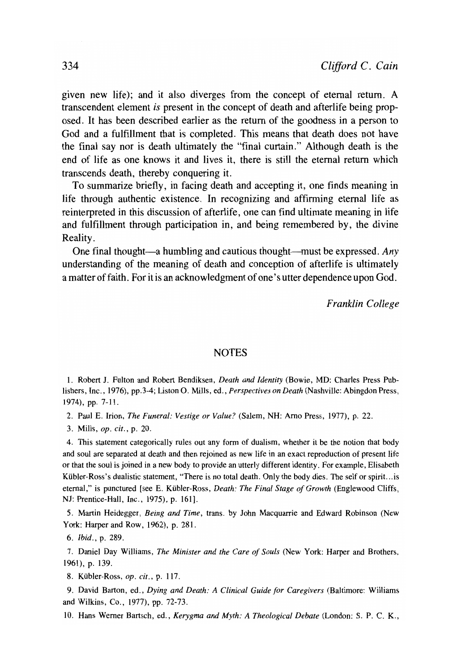given new life); and it also diverges from the concept of eternal return. A transcendent element *is* present in the concept of death and afterlife being proposed. It has been described earlier as the return of the goodness in a person to God and a fulfillment that is completed. This means that death does not have the final say nor is death ultimately the "final curtain." Although death is the end of life as one knows it and lives it, there is still the eternal return which transcends death, thereby conquering it.

To summarize briefly, in facing death and accepting it, one finds meaning in life through authentic existence. In recognizing and affirming eternal life as reinterpreted in this discussion of afterlife, one can find ultimate meaning in life and fulfillment through participation in, and being remembered by, the divine Reality.

One final thought-a humbling and cautious thought-must be expressed. *Any* understanding of the meaning of death and conception of afterlife is ultimately a matter of faith. For it is an acknowledgment of one's utter dependence upon God.

*Franklin College* 

## **NOTES**

1. Robert J. Fulton and Robert Bendiksen, *Death and Identity* (Bowie, MD: Charles Press Publishers, Inc., 1976), pp.3-4; Liston O. Mills, ed., *Perspectives on Death* (Nashville: Abingdon Press, 1974), pp. 7-11.

2. Paul E. Irion, *The Funeral: Vestige or Value?* (Salem, NH: Arno Press, 1977), p. 22.

3. MiIls, *op. cit.,* p. 20.

4. This statement categorically rules out any form of dualism, whether it be the notion that body and soul are separated at death and then rejoined as new life in an exact reproduction of present life or that the soul is joined in a new body to provide an utterly different identity. For example, Elisabeth Kübler-Ross's dualistic statement, "There is no total death. Only the body dies. The self or spirit...is eternal," is punctured [see E. Kubler-Ross, *Death: The Final Stage of Growth* (Englewood Cliffs, NJ: Prentice-Hall, Inc., 1975), p. 161].

5. Martin Heidegger, *Being and Time,* trans. by John Macquarrie and Edward Robinson (New York: Harper and Row, 1962), p. 281.

6. *Ibid.,* p. 289.

7. Daniel Day Williams, *The Minister and the Care of Souls* (New York: Harper and Brothers, 1961), p. 139.

8. Kiibler-Ross, *op. cit.,* p. 117.

9. David Barton, ed., *Dying and Death:* A *Clinical Guide for Caregivers* (Baltimore: Williams and Wilkins, Co., 1977), pp. 72-73.

10. Hans Werner Bartsch, ed., *Kerygma and Myth:* A *Theological Debate* (London: S. P. C. K.,